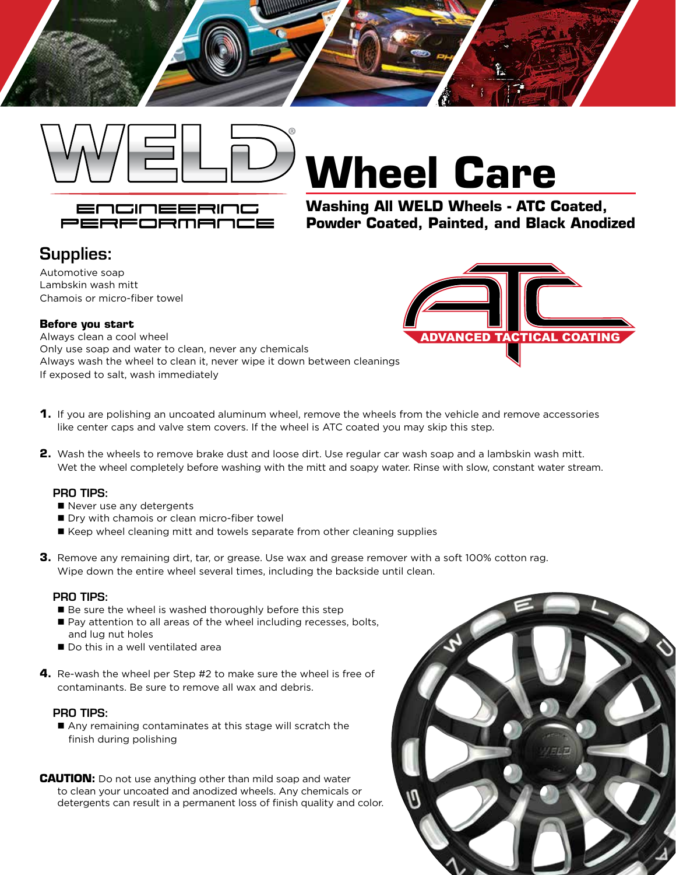



# **Wheel Care**



**Washing All WELD Wheels - ATC Coated, Powder Coated, Painted, and Black Anodized**

### Supplies:

Automotive soap Lambskin wash mitt Chamois or micro-fiber towel

### **Before you start**

Always clean a cool wheel Only use soap and water to clean, never any chemicals Always wash the wheel to clean it, never wipe it down between cleanings If exposed to salt, wash immediately



- **1.** If you are polishing an uncoated aluminum wheel, remove the wheels from the vehicle and remove accessories like center caps and valve stem covers. If the wheel is ATC coated you may skip this step.
- **2.** Wash the wheels to remove brake dust and loose dirt. Use regular car wash soap and a lambskin wash mitt. Wet the wheel completely before washing with the mitt and soapy water. Rinse with slow, constant water stream.

### PRO TIPS:

- Never use any detergents
- Dry with chamois or clean micro-fiber towel
- Keep wheel cleaning mitt and towels separate from other cleaning supplies
- **3.** Remove any remaining dirt, tar, or grease. Use wax and grease remover with a soft 100% cotton rag. Wipe down the entire wheel several times, including the backside until clean.

### PRO TIPS:

- Be sure the wheel is washed thoroughly before this step
- Pay attention to all areas of the wheel including recesses, bolts, and lug nut holes
- Do this in a well ventilated area
- **4.** Re-wash the wheel per Step #2 to make sure the wheel is free of contaminants. Be sure to remove all wax and debris.

### PRO TIPS:

- Any remaining contaminates at this stage will scratch the finish during polishing
- **CAUTION:** Do not use anything other than mild soap and water to clean your uncoated and anodized wheels. Any chemicals or detergents can result in a permanent loss of finish quality and color.